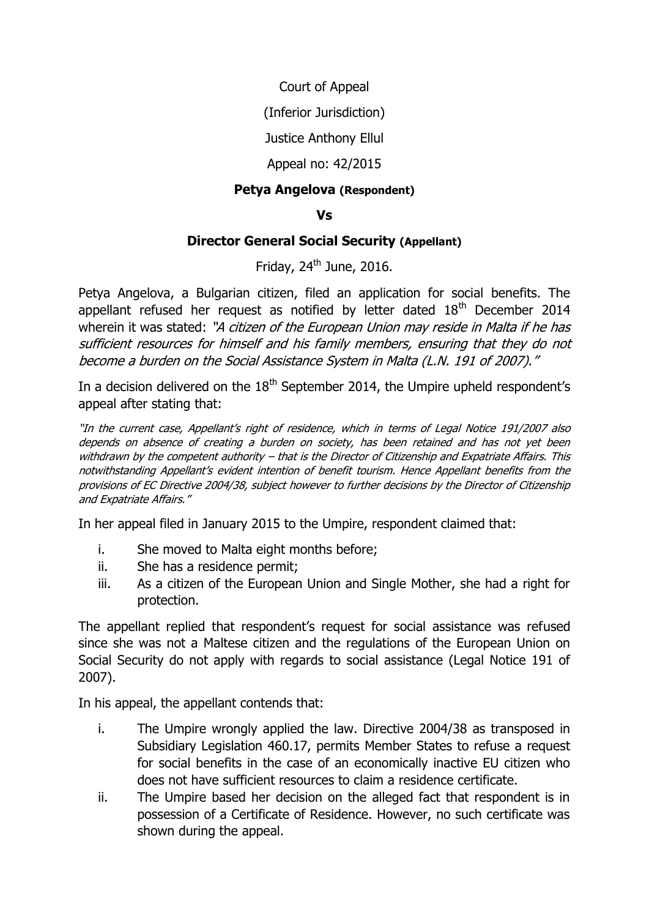Court of Appeal

(Inferior Jurisdiction)

Justice Anthony Ellul

## Appeal no: 42/2015

## **Petya Angelova (Respondent)**

## **Vs**

## **Director General Social Security (Appellant)**

Friday,  $24^{th}$  June, 2016.

Petya Angelova, a Bulgarian citizen, filed an application for social benefits. The appellant refused her request as notified by letter dated  $18<sup>th</sup>$  December 2014 wherein it was stated: "A citizen of the European Union may reside in Malta if he has sufficient resources for himself and his family members, ensuring that they do not become a burden on the Social Assistance System in Malta (L.N. 191 of 2007)."

In a decision delivered on the  $18<sup>th</sup>$  September 2014, the Umpire upheld respondent's appeal after stating that:

"In the current case, Appellant's right of residence, which in terms of Legal Notice 191/2007 also depends on absence of creating a burden on society, has been retained and has not yet been withdrawn by the competent authority – that is the Director of Citizenship and Expatriate Affairs. This notwithstanding Appellant's evident intention of benefit tourism. Hence Appellant benefits from the provisions of EC Directive 2004/38, subject however to further decisions by the Director of Citizenship and Expatriate Affairs."

In her appeal filed in January 2015 to the Umpire, respondent claimed that:

- i. She moved to Malta eight months before;
- ii. She has a residence permit;
- iii. As a citizen of the European Union and Single Mother, she had a right for protection.

The appellant replied that respondent's request for social assistance was refused since she was not a Maltese citizen and the regulations of the European Union on Social Security do not apply with regards to social assistance (Legal Notice 191 of 2007).

In his appeal, the appellant contends that:

- i. The Umpire wrongly applied the law. Directive 2004/38 as transposed in Subsidiary Legislation 460.17, permits Member States to refuse a request for social benefits in the case of an economically inactive EU citizen who does not have sufficient resources to claim a residence certificate.
- ii. The Umpire based her decision on the alleged fact that respondent is in possession of a Certificate of Residence. However, no such certificate was shown during the appeal.